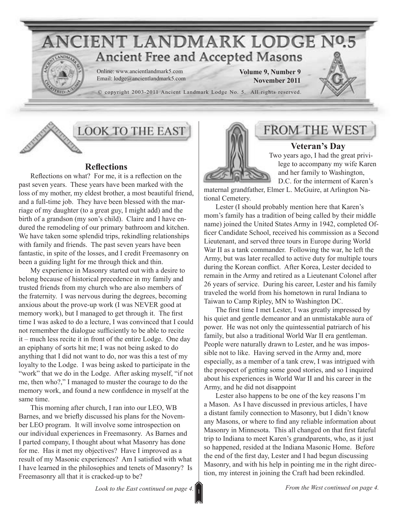

### **LOOK TO THE EAST**

#### **Reflections**

Reflections on what? For me, it is a reflection on the past seven years. These years have been marked with the loss of my mother, my eldest brother, a most beautiful friend, and a full-time job. They have been blessed with the marriage of my daughter (to a great guy, I might add) and the birth of a grandson (my son's child). Claire and I have endured the remodeling of our primary bathroom and kitchen. We have taken some splendid trips, rekindling relationships with family and friends. The past seven years have been fantastic, in spite of the losses, and I credit Freemasonry on been a guiding light for me through thick and thin.

My experience in Masonry started out with a desire to belong because of historical precedence in my family and trusted friends from my church who are also members of the fraternity. I was nervous during the degrees, becoming anxious about the prove-up work (I was NEVER good at memory work), but I managed to get through it. The first time I was asked to do a lecture, I was convinced that I could not remember the dialogue sufficiently to be able to recite it – much less recite it in front of the entire Lodge. One day an epiphany of sorts hit me; I was not being asked to do anything that I did not want to do, nor was this a test of my loyalty to the Lodge. I was being asked to participate in the "work" that we do in the Lodge. After asking myself, "if not me, then who?," I managed to muster the courage to do the memory work, and found a new confidence in myself at the same time.

This morning after church, I ran into our LEO, WB Barnes, and we briefly discussed his plans for the November LEO program. It will involve some introspection on our individual experiences in Freemasonry. As Barnes and I parted company, I thought about what Masonry has done for me. Has it met my objectives? Have I improved as a result of my Masonic experiences? Am I satisfied with what I have learned in the philosophies and tenets of Masonry? Is Freemasonry all that it is cracked-up to be?



### FROM THE WEST

**Veteran's Day** Two years ago, I had the great privilege to accompany my wife Karen and her family to Washington, D.C. for the interment of Karen's

maternal grandfather, Elmer L. McGuire, at Arlington National Cemetery.

Lester (I should probably mention here that Karen's mom's family has a tradition of being called by their middle name) joined the United States Army in 1942, completed Officer Candidate School, received his commission as a Second Lieutenant, and served three tours in Europe during World War II as a tank commander. Following the war, he left the Army, but was later recalled to active duty for multiple tours during the Korean conflict. After Korea, Lester decided to remain in the Army and retired as a Lieutenant Colonel after 26 years of service. During his career, Lester and his family traveled the world from his hometown in rural Indiana to Taiwan to Camp Ripley, MN to Washington DC.

The first time I met Lester, I was greatly impressed by his quiet and gentle demeanor and an unmistakable aura of power. He was not only the quintessential patriarch of his family, but also a traditional World War II era gentleman. People were naturally drawn to Lester, and he was impossible not to like. Having served in the Army and, more especially, as a member of a tank crew, I was intrigued with the prospect of getting some good stories, and so I inquired about his experiences in World War II and his career in the Army, and he did not disappoint

Lester also happens to be one of the key reasons I'm a Mason. As I have discussed in previous articles, I have a distant family connection to Masonry, but I didn't know any Masons, or where to find any reliable information about Masonry in Minnesota. This all changed on that first fateful trip to Indiana to meet Karen's grandparents, who, as it just so happened, resided at the Indiana Masonic Home. Before the end of the first day, Lester and I had begun discussing Masonry, and with his help in pointing me in the right direction, my interest in joining the Craft had been rekindled.

1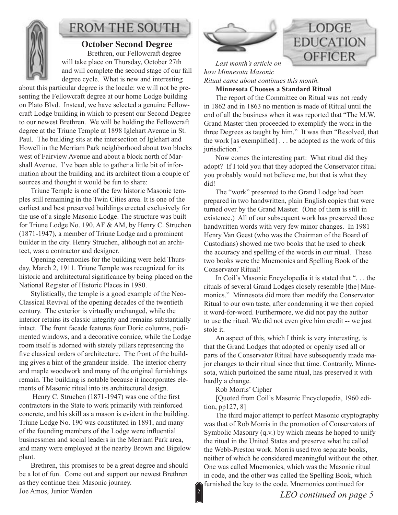

# **FROM THE SOUTH**

#### **October Second Degree** Brethren, our Fellowcraft degree will take place on Thursday, October 27th and will complete the second stage of our fall degree cycle. What is new and interesting

about this particular degree is the locale: we will not be presenting the Fellowcraft degree at our home Lodge building on Plato Blvd. Instead, we have selected a genuine Fellowcraft Lodge building in which to present our Second Degree to our newest Brethren. We will be holding the Fellowcraft degree at the Triune Temple at 1898 Iglehart Avenue in St. Paul. The building sits at the intersection of Iglehart and Howell in the Merriam Park neighborhood about two blocks west of Fairview Avenue and about a block north of Marshall Avenue. I've been able to gather a little bit of information about the building and its architect from a couple of sources and thought it would be fun to share:

Triune Temple is one of the few historic Masonic temples still remaining in the Twin Cities area. It is one of the earliest and best preserved buildings erected exclusively for the use of a single Masonic Lodge. The structure was built for Triune Lodge No. 190, AF & AM, by Henry C. Struchen (1871-1947), a member of Triune Lodge and a prominent builder in the city. Henry Struchen, although not an architect, was a contractor and designer.

Opening ceremonies for the building were held Thursday, March 2, 1911. Triune Temple was recognized for its historic and architectural significance by being placed on the National Register of Historic Places in 1980.

Stylistically, the temple is a good example of the Neo-Classical Revival of the opening decades of the twentieth century. The exterior is virtually unchanged, while the interior retains its classic integrity and remains substantially intact. The front facade features four Doric columns, pedimented windows, and a decorative cornice, while the Lodge room itself is adorned with stately pillars representing the five classical orders of architecture. The front of the building gives a hint of the grandeur inside. The interior cherry and maple woodwork and many of the original furnishings remain. The building is notable because it incorporates elements of Masonic ritual into its architectural design.

 Henry C. Struchen (1871-1947) was one of the first contractors in the State to work primarily with reinforced concrete, and his skill as a mason is evident in the building. Triune Lodge No. 190 was constituted in 1891, and many of the founding members of the Lodge were influential businessmen and social leaders in the Merriam Park area, and many were employed at the nearby Brown and Bigelow plant.

Brethren, this promises to be a great degree and should be a lot of fun. Come out and support our newest Brethren as they continue their Masonic journey. Joe Amos, Junior Warden



# **LODGE EDUCATION OFFICER**

*Last month's article on how Minnesota Masonic Ritual came about continues this month.*

**Minnesota Chooses a Standard Ritual**

The report of the Committee on Ritual was not ready in 1862 and in 1863 no mention is made of Ritual until the end of all the business when it was reported that "The M.W. Grand Master then proceeded to exemplify the work in the three Degrees as taught by him." It was then "Resolved, that the work [as exemplified] . . . be adopted as the work of this jurisdiction."

Now comes the interesting part: What ritual did they adopt? If I told you that they adopted the Conservator ritual you probably would not believe me, but that is what they did!

The "work" presented to the Grand Lodge had been prepared in two handwritten, plain English copies that were turned over by the Grand Master. (One of them is still in existence.) All of our subsequent work has preserved those handwritten words with very few minor changes. In 1981 Henry Van Geest (who was the Chairman of the Board of Custodians) showed me two books that he used to check the accuracy and spelling of the words in our ritual. These two books were the Mnemonics and Spelling Book of the Conservator Ritual!

In Coil's Masonic Encyclopedia it is stated that ". . . the rituals of several Grand Lodges closely resemble [the] Mnemonics." Minnesota did more than modify the Conservator Ritual to our own taste, after condemning it we then copied it word-for-word. Furthermore, we did not pay the author to use the ritual. We did not even give him credit -- we just stole it.

An aspect of this, which I think is very interesting, is that the Grand Lodges that adopted or openly used all or parts of the Conservator Ritual have subsequently made major changes to their ritual since that time. Contrarily, Minnesota, which purloined the same ritual, has preserved it with hardly a change.

Rob Morris' Cipher

[Quoted from Coil<sup>1</sup>s Masonic Encyclopedia, 1960 edition, pp127, 8]

The third major attempt to perfect Masonic cryptography was that of Rob Morris in the promotion of Conservators of Symbolic Masonry (q.v.) by which means he hoped to unify the ritual in the United States and preserve what he called the Webb-Preston work. Morris used two separate books, neither of which he considered meaningful without the other. One was called Mnemonics, which was the Masonic ritual in code, and the other was called the Spelling Book, which furnished the key to the code. Mnemonics continued for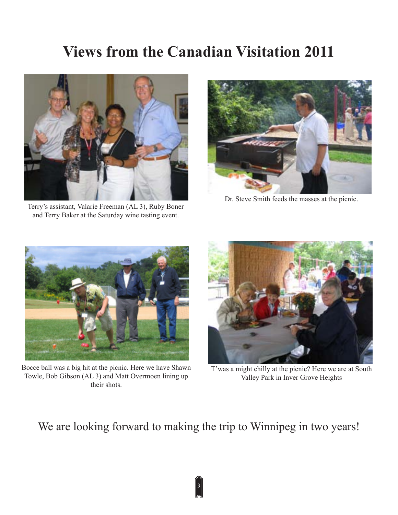# **Views from the Canadian Visitation 2011**



Terry's assistant, Valarie Freeman (AL 3), Ruby Boner and Terry Baker at the Saturday wine tasting event.



Dr. Steve Smith feeds the masses at the picnic.



Bocce ball was a big hit at the picnic. Here we have Shawn Towle, Bob Gibson (AL 3) and Matt Overmoen lining up their shots.



T'was a might chilly at the picnic? Here we are at South Valley Park in Inver Grove Heights

We are looking forward to making the trip to Winnipeg in two years!

3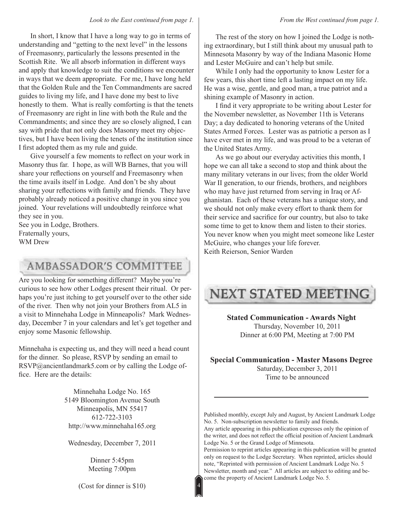In short, I know that I have a long way to go in terms of understanding and "getting to the next level" in the lessons of Freemasonry, particularly the lessons presented in the Scottish Rite. We all absorb information in different ways and apply that knowledge to suit the conditions we encounter in ways that we deem appropriate. For me, I have long held that the Golden Rule and the Ten Commandments are sacred guides to living my life, and I have done my best to live honestly to them. What is really comforting is that the tenets of Freemasonry are right in line with both the Rule and the Commandments; and since they are so closely aligned, I can say with pride that not only does Masonry meet my objectives, but I have been living the tenets of the institution since I first adopted them as my rule and guide.

Give yourself a few moments to reflect on your work in Masonry thus far. I hope, as will WB Barnes, that you will share your reflections on yourself and Freemasonry when the time avails itself in Lodge. And don't be shy about sharing your reflections with family and friends. They have probably already noticed a positive change in you since you joined. Your revelations will undoubtedly reinforce what they see in you.

See you in Lodge, Brothers. Fraternally yours, WM Drew

## **AMBASSADOR'S COMMITTEE**

Are you looking for something different? Maybe you're curious to see how other Lodges present their ritual. Or perhaps you're just itching to get yourself over to the other side of the river. Then why not join your Brothers from AL5 in a visit to Minnehaha Lodge in Minneapolis? Mark Wednesday, December 7 in your calendars and let's get together and enjoy some Masonic fellowship.

Minnehaha is expecting us, and they will need a head count for the dinner. So please, RSVP by sending an email to RSVP@ancientlandmark5.com or by calling the Lodge office. Here are the details:

> Minnehaha Lodge No. 165 5149 Bloomington Avenue South Minneapolis, MN 55417 612-722-3103 http://www.minnehaha165.org

Wednesday, December 7, 2011

Dinner 5:45pm Meeting 7:00pm

(Cost for dinner is \$10)

4

The rest of the story on how I joined the Lodge is nothing extraordinary, but I still think about my unusual path to Minnesota Masonry by way of the Indiana Masonic Home and Lester McGuire and can't help but smile.

While I only had the opportunity to know Lester for a few years, this short time left a lasting impact on my life. He was a wise, gentle, and good man, a true patriot and a shining example of Masonry in action.

I find it very appropriate to be writing about Lester for the November newsletter, as November 11th is Veterans Day; a day dedicated to honoring veterans of the United States Armed Forces. Lester was as patriotic a person as I have ever met in my life, and was proud to be a veteran of the United States Army.

As we go about our everyday activities this month, I hope we can all take a second to stop and think about the many military veterans in our lives; from the older World War II generation, to our friends, brothers, and neighbors who may have just returned from serving in Iraq or Afghanistan. Each of these veterans has a unique story, and we should not only make every effort to thank them for their service and sacrifice for our country, but also to take some time to get to know them and listen to their stories. You never know when you might meet someone like Lester McGuire, who changes your life forever. Keith Reierson, Senior Warden

# **NEXT STATED MEETING**

**Stated Communication - Awards Night** Thursday, November 10, 2011 Dinner at 6:00 PM, Meeting at 7:00 PM

**Special Communication - Master Masons Degree**

Saturday, December 3, 2011 Time to be announced

Published monthly, except July and August, by Ancient Landmark Lodge No. 5. Non-subscription newsletter to family and friends. Any article appearing in this publication expresses only the opinion of the writer, and does not reflect the official position of Ancient Landmark Lodge No. 5 or the Grand Lodge of Minnesota.

Permission to reprint articles appearing in this publication will be granted only on request to the Lodge Secretary. When reprinted, articles should note, "Reprinted with permission of Ancient Landmark Lodge No. 5 Newsletter, month and year." All articles are subject to editing and become the property of Ancient Landmark Lodge No. 5.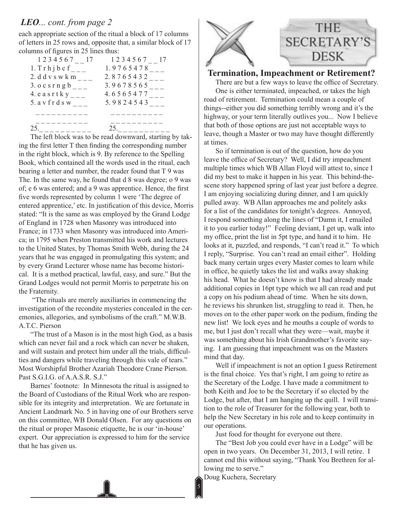### *LEO... cont. from page 2*

each appropriate section of the ritual a block of 17 columns of letters in 25 rows and, opposite that, a similar block of 17 columns of figures in 25 lines thus:

| 1 2 3 4 5 6 7 17<br>$1.$ T r h j b c f | 1 2 3 4 5 6 7 17<br>1.9765478 |
|----------------------------------------|-------------------------------|
| 2. d d v s w k m                       | 2.8765432                     |
| $3.0c$ s r n g b<br>4. e a s r t k y   | 3.9678565<br>4.6565477        |
| 5. a y f r d s w                       | 5.9824543                     |
|                                        |                               |
| 25                                     | 25                            |

The left block was to be read downward, starting by taking the first letter T then finding the corresponding number in the right block, which is 9. By reference to the Spelling Book, which contained all the words used in the ritual, each bearing a letter and number, the reader found that T 9 was The. In the same way, he found that d 8 was degree; o 9 was of; e 6 was entered; and a 9 was apprentice. Hence, the first five words represented by column 1 were 'The degree of entered apprentice,' etc. In justification of this device, Morris stated: "It is the same as was employed by the Grand Lodge of England in 1728 when Masonry was introduced into France; in 1733 when Masonry was introduced into America; in 1795 when Preston transmitted his work and lectures to the United States, by Thomas Smith Webb, during the 24 years that he was engaged in promulgating this system; and by every Grand Lecturer whose name has become historical. It is a method practical, lawful, easy, and sure." But the Grand Lodges would not permit Morris to perpetrate his on the Fraternity.

 "The rituals are merely auxiliaries in commencing the investigation of the recondite mysteries concealed in the ceremonies, allegories, and symbolisms of the craft." M.W.B. A.T.C. Pierson

"The trust of a Mason is in the most high God, as a basis which can never fail and a rock which can never be shaken, and will sustain and protect him under all the trials, difficulties and dangers while traveling through this vale of tears." Most Worshipful Brother Azariah Theodore Crane Pierson. Past S.G.I.G. of A.A.S.R. S.J."

Barnes' footnote: In Minnesota the ritual is assigned to the Board of Custodians of the Ritual Work who are responsible for its integrity and interpretation. We are fortunate in Ancient Landmark No. 5 in having one of our Brothers serve on this committee, WB Donald Olsen. For any questions on the ritual or proper Masonic etiquette, he is our 'in-house' expert. Our appreciation is expressed to him for the service that he has given us.



### **Termination, Impeachment or Retirement?**

There are but a few ways to leave the office of Secretary. One is either terminated, impeached, or takes the high road of retirement. Termination could mean a couple of things--either you did something terribly wrong and it's the highway, or your term literally outlives you... Now I believe that both of those options are just not acceptable ways to leave, though a Master or two may have thought differently at times.

So if termination is out of the question, how do you leave the office of Secretary? Well, I did try impeachment multiple times which WB Allan Floyd will attest to, since I did my best to make it happen in his year. This behind-thescene story happened spring of last year just before a degree. I am enjoying socializing during dinner, and I am quickly pulled away. WB Allan approaches me and politely asks for a list of the candidates for tonight's degrees. Annoyed, I respond something along the lines of "Damn it, I emailed it to you earlier today!" Feeling deviant, I get up, walk into my office, print the list in 5pt type, and hand it to him. He looks at it, puzzled, and responds, "I can't read it." To which I reply, "Surprise. You can't read an email either". Holding back many certain urges every Master comes to learn while in office, he quietly takes the list and walks away shaking his head. What he doesn't know is that I had already made additional copies in 16pt type which we all can read and put a copy on his podium ahead of time. When he sits down, he reviews his shrunken list, struggling to read it. Then, he moves on to the other paper work on the podium, finding the new list! We lock eyes and he mouths a couple of words to me, but I just don't recall what they were—wait, maybe it was something about his Irish Grandmother's favorite saying. I am guessing that impeachment was on the Masters mind that day.

Well if impeachment is not an option I guess Retirement is the final choice. Yes that's right, I am going to retire as the Secretary of the Lodge. I have made a commitment to both Keith and Joe to be the Secretary if so elected by the Lodge, but after, that I am hanging up the quill. I will transition to the role of Treasurer for the following year, both to help the New Secretary in his role and to keep continuity in our operations.

Just food for thought for everyone out there.

The "Best Job you could ever have in a Lodge" will be open in two years. On December 31, 2013, I will retire. I cannot end this without saying, "Thank You Brethren for allowing me to serve."

Doug Kuchera, Secretary

5